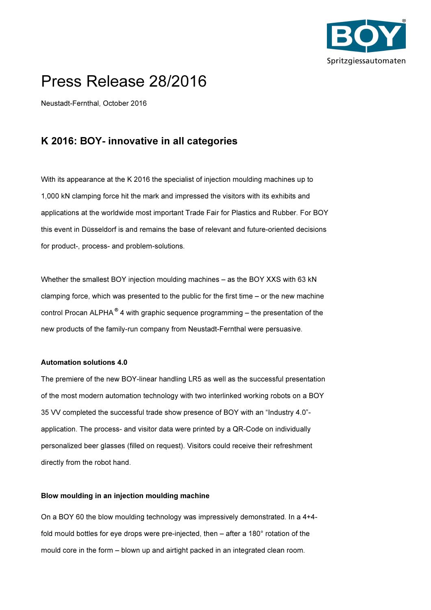

# Press Release 28/2016

Neustadt-Fernthal, October 2016

## K 2016: BOY- innovative in all categories

With its appearance at the K 2016 the specialist of injection moulding machines up to 1,000 kN clamping force hit the mark and impressed the visitors with its exhibits and applications at the worldwide most important Trade Fair for Plastics and Rubber. For BOY this event in Düsseldorf is and remains the base of relevant and future-oriented decisions for product-, process- and problem-solutions.

Whether the smallest BOY injection moulding machines – as the BOY XXS with 63 kN clamping force, which was presented to the public for the first time – or the new machine control Procan ALPHA<sup>®</sup> 4 with graphic sequence programming – the presentation of the new products of the family-run company from Neustadt-Fernthal were persuasive.

#### Automation solutions 4.0

The premiere of the new BOY-linear handling LR5 as well as the successful presentation of the most modern automation technology with two interlinked working robots on a BOY 35 VV completed the successful trade show presence of BOY with an "Industry 4.0" application. The process- and visitor data were printed by a QR-Code on individually personalized beer glasses (filled on request). Visitors could receive their refreshment directly from the robot hand.

#### Blow moulding in an injection moulding machine

On a BOY 60 the blow moulding technology was impressively demonstrated. In a 4+4 fold mould bottles for eye drops were pre-injected, then – after a 180° rotation of the mould core in the form – blown up and airtight packed in an integrated clean room.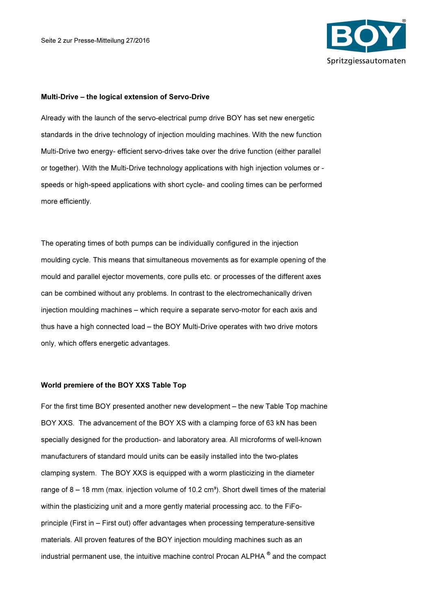

#### Multi-Drive – the logical extension of Servo-Drive

Already with the launch of the servo-electrical pump drive BOY has set new energetic standards in the drive technology of injection moulding machines. With the new function Multi-Drive two energy- efficient servo-drives take over the drive function (either parallel or together). With the Multi-Drive technology applications with high injection volumes or speeds or high-speed applications with short cycle- and cooling times can be performed more efficiently.

The operating times of both pumps can be individually configured in the injection moulding cycle. This means that simultaneous movements as for example opening of the mould and parallel ejector movements, core pulls etc. or processes of the different axes can be combined without any problems. In contrast to the electromechanically driven injection moulding machines – which require a separate servo-motor for each axis and thus have a high connected load – the BOY Multi-Drive operates with two drive motors only, which offers energetic advantages.

#### World premiere of the BOY XXS Table Top

For the first time BOY presented another new development – the new Table Top machine BOY XXS. The advancement of the BOY XS with a clamping force of 63 kN has been specially designed for the production- and laboratory area. All microforms of well-known manufacturers of standard mould units can be easily installed into the two-plates clamping system. The BOY XXS is equipped with a worm plasticizing in the diameter range of  $8 - 18$  mm (max. injection volume of 10.2 cm<sup>3</sup>). Short dwell times of the material within the plasticizing unit and a more gently material processing acc. to the FiFoprinciple (First in – First out) offer advantages when processing temperature-sensitive materials. All proven features of the BOY injection moulding machines such as an industrial permanent use, the intuitive machine control Procan ALPHA  $^\circ$  and the compact